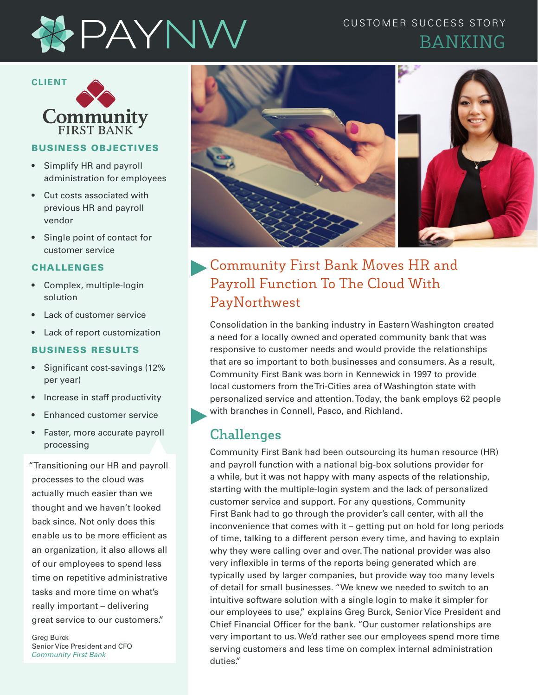

### CUSTOMER SUCCESS STORY BANKING



### BUSINESS OBJECTIVES

- Simplify HR and payroll administration for employees
- Cut costs associated with previous HR and payroll vendor
- Single point of contact for customer service

#### CHALLENGES

- Complex, multiple-login solution
- Lack of customer service
- Lack of report customization

#### BUSINESS RESULTS

- Significant cost-savings (12% per year)
- Increase in staff productivity
- Enhanced customer service
- Faster, more accurate payroll processing

"Transitioning our HR and payroll processes to the cloud was actually much easier than we thought and we haven't looked back since. Not only does this enable us to be more efficient as an organization, it also allows all of our employees to spend less time on repetitive administrative tasks and more time on what's really important – delivering great service to our customers."

Greg Burck Senior Vice President and CFO *Community First Bank*



# Community First Bank Moves HR and Payroll Function To The Cloud With PayNorthwest

Consolidation in the banking industry in Eastern Washington created a need for a locally owned and operated community bank that was responsive to customer needs and would provide the relationships that are so important to both businesses and consumers. As a result, Community First Bank was born in Kennewick in 1997 to provide local customers from the Tri-Cities area of Washington state with personalized service and attention. Today, the bank employs 62 people with branches in Connell, Pasco, and Richland.

## **Challenges**

Community First Bank had been outsourcing its human resource (HR) and payroll function with a national big-box solutions provider for a while, but it was not happy with many aspects of the relationship, starting with the multiple-login system and the lack of personalized customer service and support. For any questions, Community First Bank had to go through the provider's call center, with all the inconvenience that comes with it – getting put on hold for long periods of time, talking to a different person every time, and having to explain why they were calling over and over. The national provider was also very inflexible in terms of the reports being generated which are typically used by larger companies, but provide way too many levels of detail for small businesses. "We knew we needed to switch to an intuitive software solution with a single login to make it simpler for our employees to use," explains Greg Burck, Senior Vice President and Chief Financial Officer for the bank. "Our customer relationships are very important to us. We'd rather see our employees spend more time serving customers and less time on complex internal administration duties."